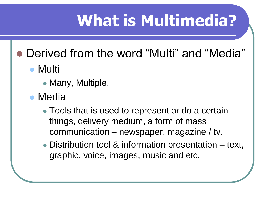# **What is Multimedia?**

- Derived from the word "Multi" and "Media"
	- Multi
		- Many, Multiple,
	- Media
		- Tools that is used to represent or do a certain things, delivery medium, a form of mass communication – newspaper, magazine / tv.
		- Distribution tool & information presentation text, graphic, voice, images, music and etc.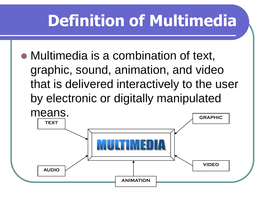# **Definition of Multimedia**

 Multimedia is a combination of text, graphic, sound, animation, and video that is delivered interactively to the user by electronic or digitally manipulated

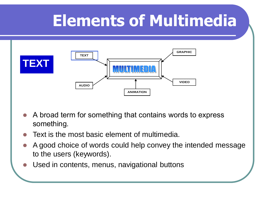

- A broad term for something that contains words to express something.
- Text is the most basic element of multimedia.
- A good choice of words could help convey the intended message to the users (keywords).
- Used in contents, menus, navigational buttons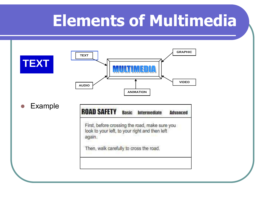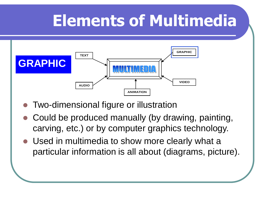

- Two-dimensional figure or illustration
- Could be produced manually (by drawing, painting, carving, etc.) or by computer graphics technology.
- Used in multimedia to show more clearly what a particular information is all about (diagrams, picture).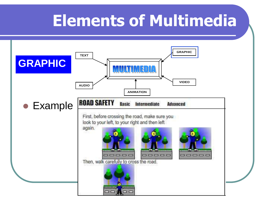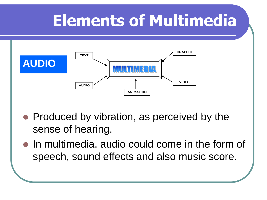

- Produced by vibration, as perceived by the sense of hearing.
- In multimedia, audio could come in the form of speech, sound effects and also music score.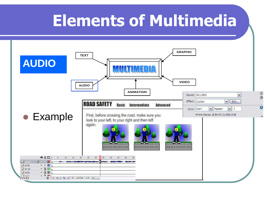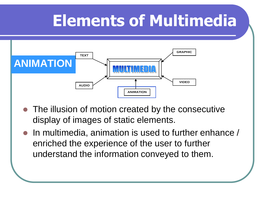

- The illusion of motion created by the consecutive display of images of static elements.
- In multimedia, animation is used to further enhance / enriched the experience of the user to further understand the information conveyed to them.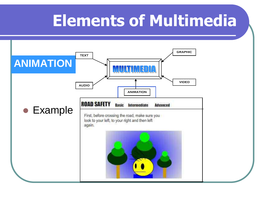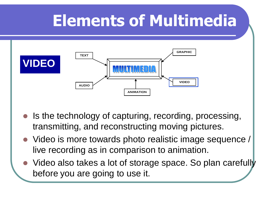

- Is the technology of capturing, recording, processing, transmitting, and reconstructing moving pictures.
- Video is more towards photo realistic image sequence / live recording as in comparison to animation.
- Video also takes a lot of storage space. So plan carefully before you are going to use it.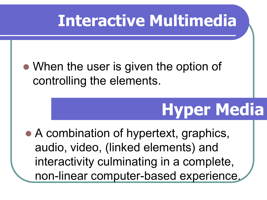# **Interactive Multimedia**

### • When the user is given the option of controlling the elements.

# **Hyper Media**

• A combination of hypertext, graphics, audio, video, (linked elements) and interactivity culminating in a complete, non-linear computer-based experience.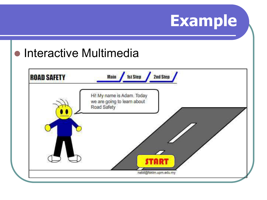# **Example**

### **• Interactive Multimedia**

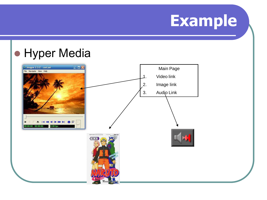

## **• Hyper Media**

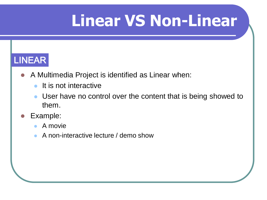# **Linear VS Non-Linear**

#### LINEAR

- A Multimedia Project is identified as Linear when:
	- **It is not interactive**
	- User have no control over the content that is being showed to them.
- Example:
	- A movie
	- A non-interactive lecture / demo show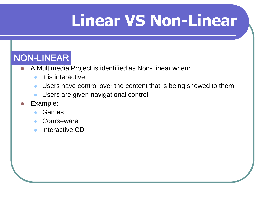# **Linear VS Non-Linear**

#### NON-LINEAR

- A Multimedia Project is identified as Non-Linear when:
	- $\bullet$  It is interactive
	- Users have control over the content that is being showed to them.
	- Users are given navigational control
- Example:
	- Games
	- **Courseware**
	- Interactive CD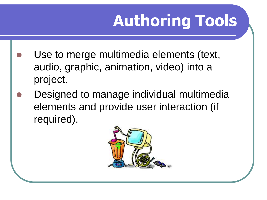# **Authoring Tools**

- Use to merge multimedia elements (text, audio, graphic, animation, video) into a project.
- Designed to manage individual multimedia elements and provide user interaction (if required).

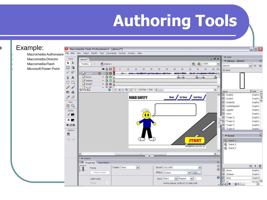# **Authoring Tools**

#### File Edit Macromedia Authorware Tools Macromedia Director demo3\*  $R$  Macromedia Flash Timeline Scene 1 日首 Microsoft Power Point● 图口  $10<sup>1</sup>$  $15<sup>2</sup>$  $20<sup>°</sup>$  $25<sup>2</sup>$  $30<sup>2</sup>$  $35$  $40<sup>°</sup>$  $10$  $\overline{b}$  source  $\sqrt{2}$   $\frac{1}{2}$   $\frac{1}{2}$  $\hat{\mathbf{Q}}$  $\Box$  arrow  $. 8<sub>1</sub>$ A  $\cdot$  80  $\n *D*$  balloon  $\Box$  $\circ$  $\Box$  START  $. 8<sub>B</sub>$ 545  $\mathscr{I}$  $\overline{a}$   $\overline{a}$  $\frac{1}{2}$  (2) (2)  $\frac{1}{2}$  (2)  $\frac{1}{2}$  (2)  $\frac{1}{2}$  (2)  $\frac{1}{2}$  (5)  $\frac{1}{2}$  (6)  $\frac{1}{2}$  (6)  $\frac{1}{2}$  (1)  $\widehat{\mathbf{m}}$  $R$  $R$  $\theta$ **ROAD SAFETY** Main View  $\mathbb{C}$   $\mathbb{C}$ Colors  $\ell$  . 6 ■ 电区部 Options Ω  $+\zeta$  +(  $\left\langle \right\rangle$  $\,$  1111  $\,$  $\blacktriangleright$  Actions ▼ Properties Parameters Tween: None  $\vert$ v Sound: NG11905 Frame <Frame Label> Effect: Custom Sync: Start  $\vee$  Repeat Label type:

Name

 $\mathcal{N}$ 

Example:

 $\Box$  $\Box$  $\times$ Macromedia Flash Professional 8 - [demo3\*] View Insert Modify Text Commands Control Window Help  $\triangleright$  Color  $\overline{\sigma}$  x v Library - demo3 震 ● 4 100%  $\checkmark$ ↓ 超 国  $demo3$  $45$ 50  $55$  $60$ 65 1元 56 items пI. пI.  $\rightarrow$ Type A Jame  $\hat{\phantom{a}}$  $\left| \bullet \right|$  budak2 Graphic <sub>D</sub> **1st Step 2nd Step** Graphic  $\frac{\Box}{\Box}$  $\left| \frac{1}{n^2} \right|$  budak3 **Dudak3b** Graphic **DudakKepala2** Graphic **DA** LogoRS Graphic **A** menu Graphic 圖 Tween 5 Graphic  $Tween 6$ Graphic Tween 7 Graphic Tween 8 Graphic v Scene 层 Scene 1 START Scene 2 nabil@fsktm.upm.edu.my Scene 3  $\overline{\mathsf{v}}$  $\rightarrow$  $i\Xi_{\rm v}$  $^{\circ}$ 图 + 面  $\checkmark$  $\circledcirc$ arrow Graphic  $\blacktriangleright$   $\epsilon$  Edit... a jinbesar Graphic **a E** strip Graphic  $\sqrt{1}$ 

44 kHz Stereo 16 Bit 67.2 s 806.9 kB

**ES** in

□< Ⅲ

 $\begin{array}{c|c} \mathbf{0} & \mathbf{B} & \mathbf{B} & \mathbf{B} \\ \hline \end{array}$ 

Movie C

 $\rightarrow$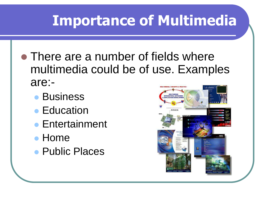- There are a number of fields where multimedia could be of use. Examples are:-
	- **Business**
	- Education
	- Entertainment
	- Home
	- Public Places

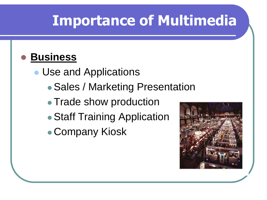#### **Business**

• Use and Applications

- Sales / Marketing Presentation
- Trade show production
- Staff Training Application
- Company Kiosk

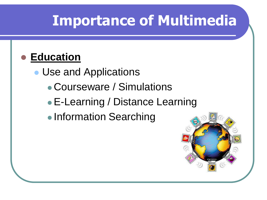#### **Education**

• Use and Applications

- Courseware / Simulations
- E-Learning / Distance Learning
- Information Searching

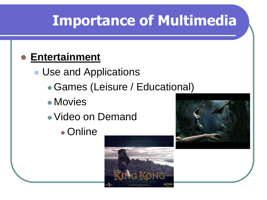#### **Entertainment**

• Use and Applications

- Games (Leisure / Educational)
- Movies
- Video on Demand
	- Online



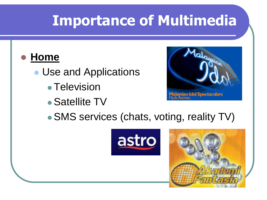#### **Home**

- Use and Applications
	- Television
	- Satellite TV



• SMS services (chats, voting, reality TV)



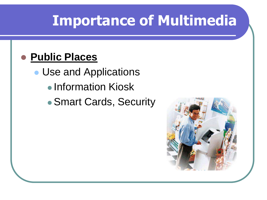#### **Public Places**

- Use and Applications
	- Information Kiosk
	- Smart Cards, Security

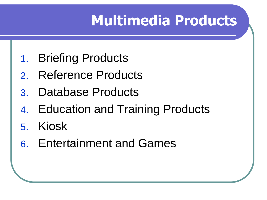- 1. Briefing Products
- 2. Reference Products
- 3. Database Products
- 4. Education and Training Products
- 5. Kiosk
- 6. Entertainment and Games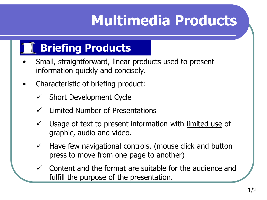## **Briefing Products**

- Small, straightforward, linear products used to present information quickly and concisely.
- Characteristic of briefing product:
	- $\checkmark$  Short Development Cycle
	- Limited Number of Presentations
	- $\checkmark$  Usage of text to present information with limited use of graphic, audio and video.
	- $\checkmark$  Have few navigational controls. (mouse click and button press to move from one page to another)
	- Content and the format are suitable for the audience and fulfill the purpose of the presentation.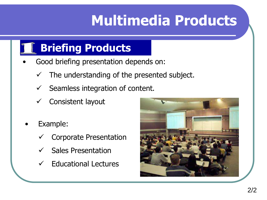### **Briefing Products**

- Good briefing presentation depends on:
	- $\checkmark$  The understanding of the presented subject.
	- $\checkmark$  Seamless integration of content.
	- $\checkmark$  Consistent layout
	- Example:
		- Corporate Presentation
		- $\checkmark$  Sales Presentation
		- Educational Lectures

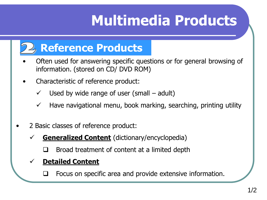

- Often used for answering specific questions or for general browsing of information. (stored on CD/ DVD ROM)
- Characteristic of reference product:
	- $\checkmark$  Used by wide range of user (small adult)
	- $\checkmark$  Have navigational menu, book marking, searching, printing utility
- 2 Basic classes of reference product:
	- **Generalized Content** (dictionary/encyclopedia)
		- Broad treatment of content at a limited depth

#### **Detailed Content**

Focus on specific area and provide extensive information.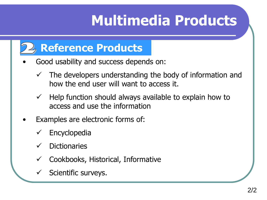

- Good usability and success depends on:
	- $\checkmark$  The developers understanding the body of information and how the end user will want to access it.
	- $\checkmark$  Help function should always available to explain how to access and use the information
- Examples are electronic forms of:
	- $\checkmark$  Encyclopedia
	- $\checkmark$  Dictionaries
	- $\checkmark$  Cookbooks, Historical, Informative
	- Scientific surveys.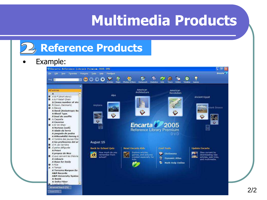#### **Reference Products**

#### • Example:

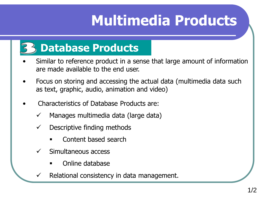#### **Database Products**

- Similar to reference product in a sense that large amount of information are made available to the end user.
- Focus on storing and accessing the actual data (multimedia data such as text, graphic, audio, animation and video)
- Characteristics of Database Products are:
	- $\checkmark$  Manages multimedia data (large data)
	- $\checkmark$  Descriptive finding methods
		- Content based search
	- $\checkmark$  Simultaneous access
		- Online database
	- Relational consistency in data management.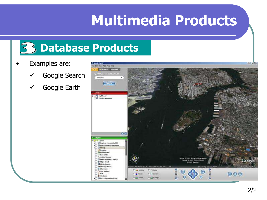

- Examples are:
	- Google Search
	- Google Earth

| C-Comple Lunth                                                                                                                               |                                                                                                     |                                                                                                                    | <b>NAM JARK</b> |
|----------------------------------------------------------------------------------------------------------------------------------------------|-----------------------------------------------------------------------------------------------------|--------------------------------------------------------------------------------------------------------------------|-----------------|
| File Diff. Then: Add., Tools. Help-                                                                                                          |                                                                                                     |                                                                                                                    |                 |
| <b>Continent</b> * Bencom<br><b>CYT</b><br>s.g. 2400 Reservoir Pd. Thereda, NY                                                               |                                                                                                     |                                                                                                                    |                 |
| new york.                                                                                                                                    |                                                                                                     |                                                                                                                    |                 |
| <b>ANS STATES</b>                                                                                                                            |                                                                                                     |                                                                                                                    |                 |
| v. Places                                                                                                                                    |                                                                                                     |                                                                                                                    |                 |
| <b>FED With Places</b><br><b>The Temperary Places</b>                                                                                        |                                                                                                     |                                                                                                                    |                 |
| OO                                                                                                                                           |                                                                                                     |                                                                                                                    |                 |
| $-1$ Algebra                                                                                                                                 |                                                                                                     |                                                                                                                    |                 |
| VO SE LANKE                                                                                                                                  |                                                                                                     |                                                                                                                    |                 |
| <b>CO Reyhole Comments 885</b><br>¥E<br>D User-Supplied Collections<br>Director<br><b>SHELL</b> ME<br><b>B</b> Federal Title<br>- Bara Cluba |                                                                                                     |                                                                                                                    |                 |
| Coffee Bousses<br><b>Ci Malls Shopping Contern</b><br><sup>5</sup> Major Rotal<br><b>CE Movie Rontale</b><br>W Grocery Stores                | Potenci obradražios (m. i farozoa parlimi nese i dia)                                               | Image 6 2005 State of New Jersey<br>Image 6 2005 DigitalState<br>- 0 2005 DigitalState<br>Streaming (Ed) (11 100%) | 6076            |
| <b>8 Photoson</b><br>City Gas Stations<br>$2 - 640$<br><b>C Stations</b><br><b>F. D Parks Recreation Areas</b>                               | $T$ $71$ Derg<br><b>Lime Kristiania</b><br>I County<br><b>Triacht</b><br>P Estuares<br>P Cal Server | ۰<br>ø<br>G<br>ë<br>е<br>ø<br>G                                                                                    | 000             |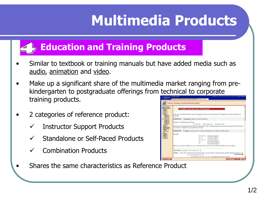#### **Education and Training Products**

- Similar to textbook or training manuals but have added media such as audio, animation and video.
- Make up a significant share of the multimedia market ranging from prekindergarten to postgraduate offerings from technical to corporate training products.
- 2 categories of reference product:
	- Instructor Support Products
	- Standalone or Self-Paced Products
	- Combination Products
- Shares the same characteristics as Reference Product

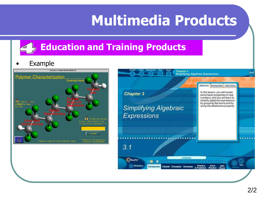#### **Education and Training Products**

#### **Example**



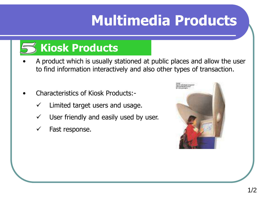## **Kiosk Products**

- A product which is usually stationed at public places and allow the user to find information interactively and also other types of transaction.
- Characteristics of Kiosk Products:-
	- Limited target users and usage.
	- $\checkmark$  User friendly and easily used by user.
	- $\checkmark$  Fast response.

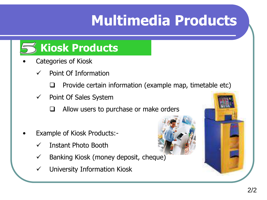

- Categories of Kiosk
	- Point Of Information
		- $\Box$  Provide certain information (example map, timetable etc)
	- $\checkmark$  Point Of Sales System
		- $\Box$  Allow users to purchase or make orders
- Example of Kiosk Products:-
	- Instant Photo Booth
	- $\checkmark$  Banking Kiosk (money deposit, cheque)
	- University Information Kiosk